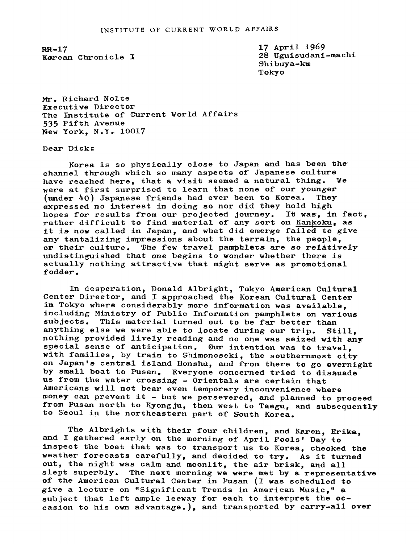$RR-17$ Kerean Chronicle I

17 April 1969 28 Uguisudani-machi Shibuya-ku Tokyo

Mr. Richard Nolte Executive Director The Institute of Current World Affairs 535: Fifth Avenue New York,  $N.Y. 10017$ 

Dear Dick:

Korea is so physically close to Japan and has been the channel through which so many aspects of Japanese culture<br>have reached here, that a visit seemed a natural thing. We have reached here, that a visit seemed a natural thing. were at first surprised to learn that none of our younger<br>(under 40) Japanese friends had ever been to Korea. They (under  $40$ ) Japanese friends had ever been to Korea. expressed no interest in doing so nor did they hold high<br>hopes for results from our projected journey. It was, in fact, hopes for results from our projected journey. It was, in fact, rather difficult to find material of any sort on Kankoku, as it is now called in Japan, and what did emerge failed to give any tantalizing impressions about the terrain, the people. or their culture. The few travel pamplets are so relatively undistinguished that one begins to wonder whether there is actually nothing attractive that might serve as promotional fodder.

In desperation, Donald Albright, Tokyo American Cultural Center Director, and I approached the Korean Cultural Center in Tokyo where considerably more information was available, including Ministry of Public Information pamphlets on various subjects. This material turned out to be far better than anything else we were able to locate during our trip. Still. nothing provided lively reading and no one was seized with any special sense of anticipation. Our intention was to travel, with families, by train to Shimonoseki, the southernmost city on Japan's central island Honshu, and from there to go overnight by small boat to Pusan. Everyone concerned tried to dissuade us from the water crossing - Orientals are certain that Americans will not bear even temporary inconvenience where money can prevent it - but we persevered, and planned to proceed from Pusan north to Kyongju, then west to Taegu, and subsequently to Seoul in the northeastern part of South Korea.

The Albrights with their four children, and Karen, Erika, and <sup>I</sup> gathered early on the morning of April Fools' Day to inspect the boat that was to transport us to Korea, checked the weather forecasts carefully, and decided to try. As it turned out, the night was calm and moonlit, the air brisk, and all slept superbly. The next morning we were met by a representative of the American Cultural Center in Pusan (I was scheduled to give a lecture on "Significant Trends in American Music," a subject that left ample leeway for each to interpret the occasion to his own advantage. ), and transported by carry-all over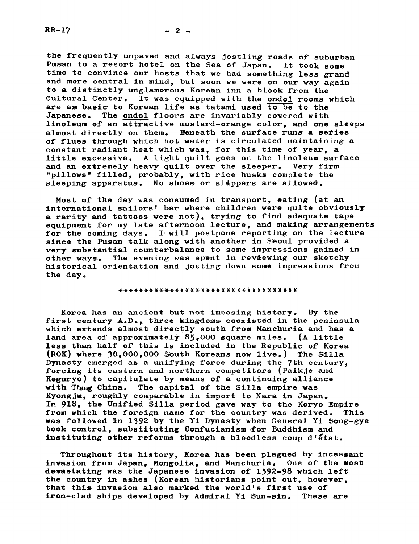the frequently unpaved and always jostling roads of suburban Pusan to a resort hotel on the Sea of Japan. It took some time to convince our hosts that we had something less grand and more central in mind, but soon we were on our way again to a distinctly unglamorous Korean inn a block from the Cultural Center. It was equipped with the ondol rooms which are as basic to Korean life as tatami used to be to the Japanese. The ondol floors are invariably covered with linoleum of an attractive mustard-orange color, and one sleeps almost directly on them. Beneath the surface runs a series of flues through which hot water is circulated maintaining a constant radiant heat which was, for this time of year, a little excessive. A light quilt goes on the linoleum surface and an extremely heavy quilt over the sleeper. Very firm "pillows" filled, probably, with rice husks complete the sleeping apparatus. No shoes or slippers are allowed.

Most of the day was consumed in transport, eating (at an international sailors' bar where children were quite obviously a rarity and tattoos were not), trying to find adequate tape equipment for my late afternoon lecture. and making arrangements for the coming days. I will postpone reporting on the lecture since the Pusan talk along with another in Seoul provided a very substantial counterbalance to some impressions gained in other ways. The evening was spent in reviewing our sketchy historical orientation and jotting down some impressions from the day

## \*\*\*\*\*\*\*\*\*\*\*\*\*\*\*\*\*\*\*\*\*\*\*\*\*\*\*\*\*\*\*\*\*\*

Korea has an ancient but not imposing history, By the first century  $A_{\star}D_{\star}$ , three kingdoms coexisted in the peninsula which extends almost directly south from Manchuria and has a land area of approximately  $85,000$  square miles. (A little less than half of this is included in the Republic of Korea  $(ROK)$  where  $30,000,000$  South Koreans now live.) The Silla Dynasty emerged as a unifying force during the 7th century, forcing its eastern and northern competitors (Paikje and Kguryo) to capitulate by means of a continuing alliance with Trang China. The capital of the Silla empire was Kyongju, roughly comparable in import to Nara in Japan. In 918, the Unified Silla period gave way to the Koryo Empire from which the foreign name for the country was derived. This was followed in 1392 by the Yi Dynasty when General Yi Song-gye took control, substituting Confucianism for Buddhism and instituting other reforms through a bloodless coup d'état.

Throughout its history. Korea has been plagued by incessant invasion from Japan, Mongolia, and Manchuria. One of the most devastating was the Japanese invasion of 1592-98 which left the country in ashes (Korean historians point out, however, that this invasion also marked the world's first use of iron-clad ships developed by Admiral Yi Sun-sln. These are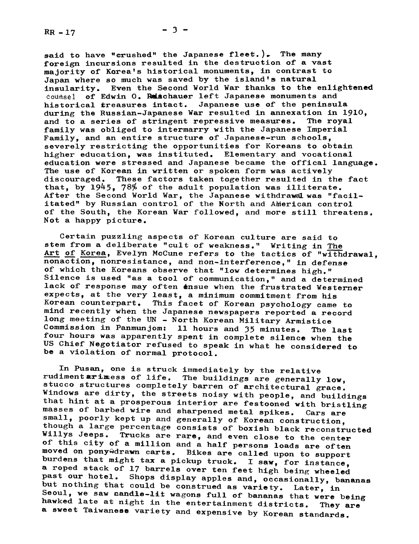$RR - 17$  - 3 -

said to have "crushed" the Japanese fleet.). The manv foreign incursions resulted in the destruction of a vast majority of Korea's historical monuments, in contrast to Japan where so much was saved by the island's natural insularity. Even the Second World War thanks to the enlightened counsel of Edwin O. Raischauer left Japanese monuments and historical treasures intact. Japanese use of the peninsula during the Russian-Japanese War resulted in annexation in 1910, and to a series of stringent repressive measures. The royal family was obliged to intermarry with the Japanese Imperial Family, and an entire structure of Japanese-run schools, severely restricting the opportunities for Koreans to obtain higher education, was instituted. Elementary and vocational education were stressed and Japanese became the offical language. The use of Korean in written or spoken form was actively discouraged. These factors taken together resulted in the fact that, by  $1945$ ,  $78\%$  of the adult population was illiterate. After the Second World War, the Japanese withdrawal was "facilitated" by Russian control of the North and AMerican control of the South, the Korean War followed, and more still threatens. Not a happy picture.

Certain puzzling aspects of Korean culture are said to stem from a deliberate "cult of weakness." Writing in The Art of Korea, Evelyn McCune refers to the tactics of "withdrawal. nonaction, nonresistance, and non-interference," in defense of which the Koreans observe that "low determines high." Silence is used "as a tool of communication," and a determined lack of response may often ensue when the frustrated Westerner expects, at the very least, a minimum commitment from his Korean counterpart. This facet of Korean psychology came to mind recently when the Japanese newspapers reported a record long meeting of the UN - North Korean Military Armistice Commission in Panmunjom: <sup>11</sup> hours and <sup>35</sup> minutes. The last four hours was apparently spent in complete silence when the US Chief Negotiator refused to speak in what he considered to be <sup>a</sup> violation of normal protocol.

In Pusan, one is struck immediately by the relative rudiment arimess of life. The buildings are generally low, stucco structures completely barren of architectural grace.<br>Windows are dirty, the streets noisy with people, and buildings<br>that hint at a prosperous interior are festooned with bristling<br>masses of barbed wire and sharpend a sweet Taiwanese variety and expensive by Korean standards.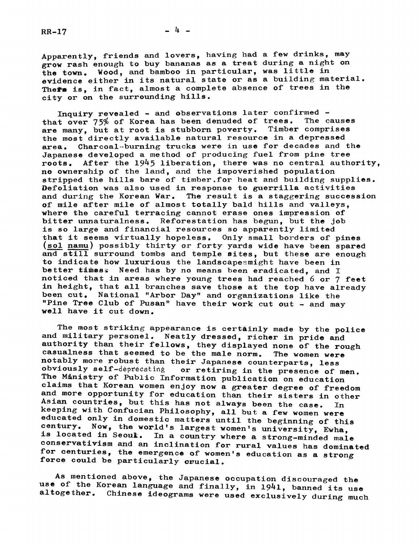Apparently, friends and lovers, having had <sup>a</sup> few drinks, may grow rash enough to buy bananas as a treat during a night on the town. Wood, and bamboo in particular, was little in evidence either in its natural state or as a building material. There is, in fact, almost a complete absence of trees in the city or on the surrounding hills.

Inquiry revealed- and observations later confirmedthat over 75% of Korea has been denuded of trees. The causes are many, but at root is stubborn poverty. Timber comprises the most directly available natural resource in a depressed area. Charcoal-burning trucks were in use for decades and the Japanese developed a method of producing fuel from pine tree roots. After the 1945 liberation, there was no central authority, no ownership of the land, and the impoverished population stripped the hills bare of timber.for heat and building supplies. Defoliation was also used in response to guerrilla activities and during the Korean War. The result is a staggering succession of mile after mile of almost totally bald hills and valleys, where the careful terracing cannot erase ones impression of bitter unnaturalness. Reforestation has begun, but the job is so large and financial resources so apparently limited that it seems virtually hopeless. 0nly small borders of pines (sol namu) possibly thirty or forty yards wide have been spared and still surround tombs and temple sites, but these are enough to indicate how luxurious the landscapemight have been in better times. Need has by no means been eradicated, and I noticed that in areas where young trees had reached <sup>6</sup> or <sup>7</sup> feet in height, that all branches save those at the top have already been cut. National "Arbor Day" and organizations like the "Pine Tree Club of Pusan" have their work cut out - and may well have it cut down.

The most striking appearance is certainly made by the police and military personel. Neatly dressed, richer in pride and authority than their fellows, they displayed none of the rough casualness that seemed to be the male norm. The women were notably more robust than their Japanese counterparts, less<br>obviously self-deprecating or retiring in the presence of men. The Ministry of Public Information publication on education<br>claims that Korean women enjoy now a greater degree of freedom<br>and more opportunity for education than their sisters in other<br>Asian countries, but this has not al for centuries, the emergence of women's education as a strong force could be particularly ornucial.

As mentioned above, the Japanese occupation discouraged the use of the Korean language and finally, in 1941, banned its use altogether. Chinese ideograms were used exclusively during much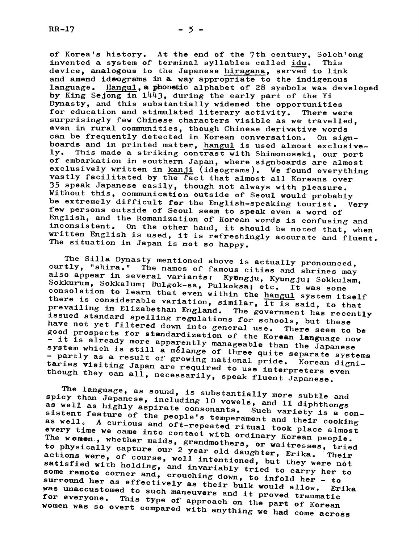of Korea's history. At the end of the 7th century, Solch'ong<br>invented a system of terminal svllables called idu. This invented a system of terminal syllables called idu. device, analogous to the Japanese hiragana, served to link and amend ideograms in a way appropriate to the indigenous language. Hangul, a phonetic alphabet of 28 symbols was developed by King Sejong in 1443, during the early part of the Yi Dynasty, and this substantially widened the opportunities for education and stimulated literary activity. There were surprisingly few Chinese characters visible as we travelled, even in rural communities, though Chinese derivative words can be frequently detected in Korean conversation. On signboards and in printed matter, hangul is used almost exclusively. This made a striking contrast with Shimonoseki, our port of embarkation in southern Japan, where signboards are almost exclusively written in  $kanji$  (ideograms). We found everything vastly facilitated by the fact that almost all Koreans over 35 speak Japanese easily, though not always with pleasure. be extremely difficult for the English-speaking tourist. Very<br>few persons outside of Seoul seem to speak even a word of<br>English, and the Romanization of Korean words is confusing and<br>inconsistent. On the other hand, it sho

The Silla Dynasty mentioned above is actually pronounced,<br>curtly, "shira." The names of famous cities and shrines may also appear in several variants: KyOngju, Kyungju; Sokkulam, Sokkulam, Sokkalum; Bulgok-sa, Pulkoksa; etc. It was some consolation to learn that even within the hangul system itself there consolation to learn that even within the hangul system itself<br>there is considerable variation, similar, it is said, to that<br>prevailing in Elizabethan England. The covernment because is issued standard spelling. Instand, the government has rece prevailing in Elizabethan England. The government has recently have not yet filtered down into general use. have not yet filtered down into general use. There seem to be<br>good prospects for standardization of the Korean language now<br>- it is already more apparently managely it is already more apparently manageable than the Japanese<br>stem which is still a malageable than the Japanese system which is still a melange of three quite separate systems<br>- partly as a result of growing paties. partly as a - partly as a result of growing national pride. Korean digni-<br>taries visiting Japan are required to was referent dignitaries visiting Japan are required to use interpreters even<br>though they can all, necessarily, speak fluent Japanese. taries visiting Japan are required to use interpreters even

spicy than Japanese, including 10 vowels, and 11 diphthongs<br>as well as highly aspirate consonants. Cand 11 diphthongs The language, as sound, is substantially more subtle and<br>cy than Japanese, including 10 reseal as well as highly aspirate consonants. Such variety is a con-<br>sistent feature of the neonlals terminational variety is a consistent feature of the people's temperament and their cooking<br>as well. A curious and oft-repeated ritual tool. as well. A curious and oft-repeated every time we came into contact with ordinary Korean almost The women, whether maids, grandmothers, or waitresses, tried<br>to physically capture our 2 year old daughter Frike contact with ordinary Korean people. to physically capture our 2 year old daughter, Erika. Their<br>actions were, of course, well intentional erika. Their actions were, of course, well intentioned, but they were not<br>satisfied with holding, and invenieble to the were not satisfied with holding, and invariably tried to carry her to<br>some remote corner and, crouching darm that is carry her to some remote corner and, crouching down, to infold her - to<br>surround her as effectively as their bull her - to surround her as effectively as their bulk would allow. Erika<br>was unaccustomed to such maneuvers and it would allow. Erika was unaccustomed to such maneuvers and it proved traumatic<br>for everyone. This type of approach on the part 10 K for everyone. This type of approach on the part of Korean<br>women was so overt compared with anything we had come across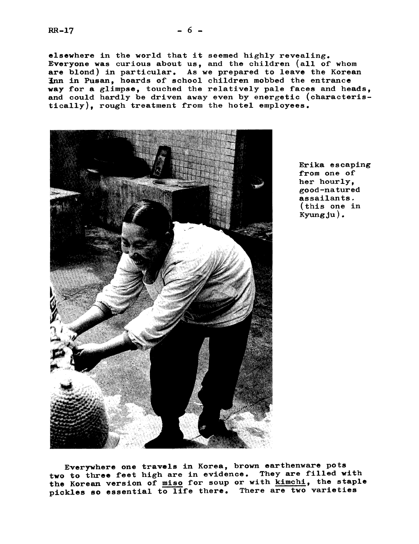are blond) in particular. As we prepared to leave the Korean in Pusan, hoards of school children mobbed the entrance way for a glimpse, touched the relatively pale faces and heads, and could hardly be driven away even by energetic (characteristically), rough treatment from the hotel employees.



Erika escaping from one of her hourly, good-natured assailants. (this one in Kyungju).

Everywhere one travels in Korea, brown earthenware pots two to three feet high are in evidence. They are filled with the Korean version of miso for soup or with kimchi, the staple pickles so essential to life there. There are two varieties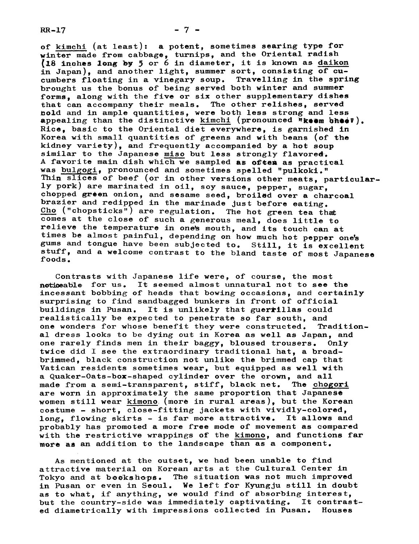of kimchi (at least): a potent, sometimes searing type for winter made from cabbage, turnips, and the Oriental radish (18 inches long by 5 or 6 in diameter, it is known as daikon in Japan), and another light, summer sort, consisting of cucumbers floating in a vinegary soup. Travelling in the spring brought us the bonus of being served both winter and summer forms, along with the five or six other supplementary dishes that can accompany their meals. The other relishes, served nold and in ample quantities, were both less strong and less appealing than the distinctive kimchi (pronounced  $\bar{H}$   $\mathbf{k}\oplus\mathbf{m}$  bhadV). Rice, basic to the Oriental diet everywhere, is garnished in Korea with small quantities of greens and with beans (of the kidney variety), and frequently accompanied by a hot soup similar to the Japanese miso but less strongly flavored. A favorite main dish which we sampled as often as practical was bulgogi, pronounced and sometimes spelled "pulkoki." Thin slices of beef (or in other versions other meats, particularly pork) are marinated in oil, soy sauce, pepper, sugar, chopped green onion, and sesame seed, broiled over a charcoal brazier and redipped in the marinade just before eating.  $Cho$  ("chopsticks") are regulation. The hot green tea that comes at the close of such a enerous meal, does little to relieve the temperature in one's mouth, and its touch can at times be almost painful, depending on how much hot pepper one's gums and tongue have been subjected to. Still, it is excellent stuff, and a welcome contrast to the bland taste of most Japanese foods.

Contrasts with Japanese life were, of course, the most noticeable for us. It seemed almost unnatural not to see the incessant bobbing of heads that bowing occasions, and certainly surprising to find sandbagged bunkers in front of official buildings in Pusan. It is unlikely that guerrillas could realistically be expected to penetrate so far south, and<br>one wonders for whose benefit they were constructed. Traditionone wonders for whose benefit they were constructed. al dress looks to be dying out in Korea as well as Japan, and one rarely finds men in their baggy, bloused trousers. Oniy twice did I see the extraordinary traditional hat, a broadbrimmed, black construction not unlike the brimmed cap that Vatican residents sometimes wear, but equipped as well with a Quaker-Oats-box-shaped cylinder over the crown, and all made from a semi-transparent, stiff, black net. The chogori are worn in approximately the same proportion that Japanese women still wear kimono: (more in rural areas), but the Korean costume - short, close-fitting jackets with vividly-colored, long, flowing skirts - is far more attractive. It allows and probably has promoted a more free mode of movement as compared with the restrictive wrappings of the  ${\underline{\text{kimono}}}}$ , and functions far probably has promoted a more free mode of movement as conwith the restrictive wrappings of the kimono, and function wore as an addition to the landscape than as a component.

As mentioned at the outset, we had been unable to find attractive material on Korean arts at the Cultural Center in Tokyo and at bookshops. The situation was not much improved in Pusan or even in Seoul. We left for Kyungju still in doubt as to what, if anything, we would find of absorbing interest,<br>but the country-side was immediately captivating. It contrastbut the country-side was immediately captivating. ed diametrically with impressions collected in Pusan. Houses